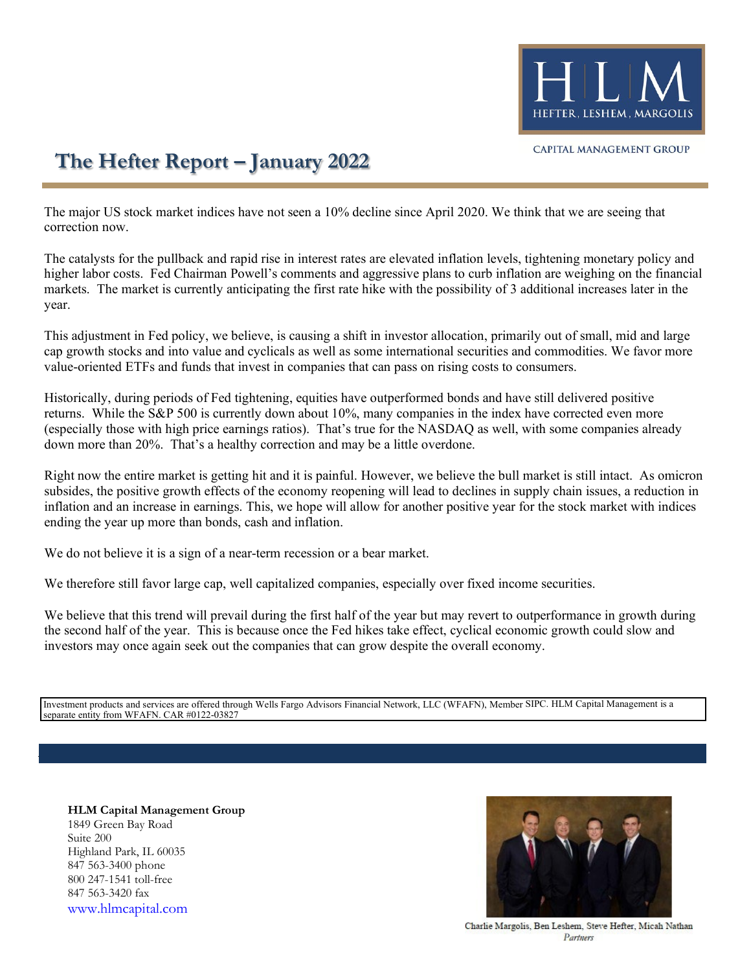

## **The Hefter Report – January 2022**

The major US stock market indices have not seen a 10% decline since April 2020. We think that we are seeing that correction now.

The catalysts for the pullback and rapid rise in interest rates are elevated inflation levels, tightening monetary policy and higher labor costs. Fed Chairman Powell's comments and aggressive plans to curb inflation are weighing on the financial markets. The market is currently anticipating the first rate hike with the possibility of 3 additional increases later in the year.

This adjustment in Fed policy, we believe, is causing a shift in investor allocation, primarily out of small, mid and large cap growth stocks and into value and cyclicals as well as some international securities and commodities. We favor more value-oriented ETFs and funds that invest in companies that can pass on rising costs to consumers.

Historically, during periods of Fed tightening, equities have outperformed bonds and have still delivered positive returns. While the S&P 500 is currently down about 10%, many companies in the index have corrected even more (especially those with high price earnings ratios). That's true for the NASDAQ as well, with some companies already down more than 20%. That's a healthy correction and may be a little overdone.

Right now the entire market is getting hit and it is painful. However, we believe the bull market is still intact. As omicron subsides, the positive growth effects of the economy reopening will lead to declines in supply chain issues, a reduction in inflation and an increase in earnings. This, we hope will allow for another positive year for the stock market with indices ending the year up more than bonds, cash and inflation.

We do not believe it is a sign of a near-term recession or a bear market.

We therefore still favor large cap, well capitalized companies, especially over fixed income securities.

We believe that this trend will prevail during the first half of the year but may revert to outperformance in growth during the second half of the year. This is because once the Fed hikes take effect, cyclical economic growth could slow and investors may once again seek out the companies that can grow despite the overall economy.

Investment products and services are offered through Wells Fargo Advisors Financial Network, LLC (WFAFN), Member SIPC. HLM Capital Management is a separate entity from WFAFN. CAR #0122-03827

**HLM Capital Management Group** 1849 Green Bay Road Suite 200 Highland Park, IL 60035 847 563-3400 phone 800 247-1541 toll-free 847 563-3420 fax [www.hlmcapital.com](http://www.hlmcapital.com/)



Charlie Margolis, Ben Leshem, Steve Hefter, Micah Nathan Partnery